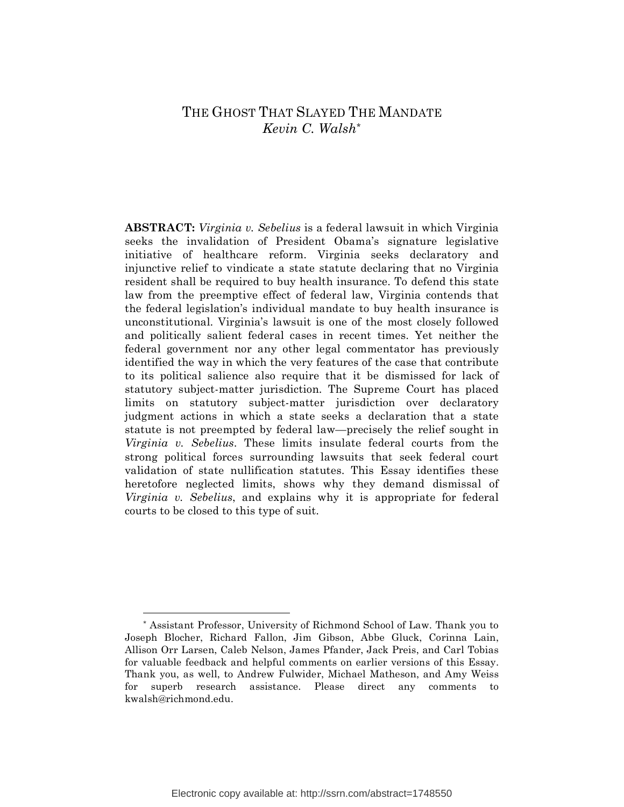## THE GHOST THAT SLAYED THE MANDATE *Kevin C. Walsh\**

**ABSTRACT:** *Virginia v. Sebelius* is a federal lawsuit in which Virginia seeks the invalidation of President Obama's signature legislative initiative of healthcare reform. Virginia seeks declaratory and injunctive relief to vindicate a state statute declaring that no Virginia resident shall be required to buy health insurance. To defend this state law from the preemptive effect of federal law, Virginia contends that the federal legislation's individual mandate to buy health insurance is unconstitutional. Virginia's lawsuit is one of the most closely followed and politically salient federal cases in recent times. Yet neither the federal government nor any other legal commentator has previously identified the way in which the very features of the case that contribute to its political salience also require that it be dismissed for lack of statutory subject-matter jurisdiction. The Supreme Court has placed limits on statutory subject-matter jurisdiction over declaratory judgment actions in which a state seeks a declaration that a state statute is not preempted by federal law—precisely the relief sought in *Virginia v. Sebelius*. These limits insulate federal courts from the strong political forces surrounding lawsuits that seek federal court validation of state nullification statutes. This Essay identifies these heretofore neglected limits, shows why they demand dismissal of *Virginia v. Sebelius*, and explains why it is appropriate for federal courts to be closed to this type of suit.

<sup>\*</sup> Assistant Professor, University of Richmond School of Law. Thank you to Joseph Blocher, Richard Fallon, Jim Gibson, Abbe Gluck, Corinna Lain, Allison Orr Larsen, Caleb Nelson, James Pfander, Jack Preis, and Carl Tobias for valuable feedback and helpful comments on earlier versions of this Essay. Thank you, as well, to Andrew Fulwider, Michael Matheson, and Amy Weiss for superb research assistance. Please direct any comments to kwalsh@richmond.edu.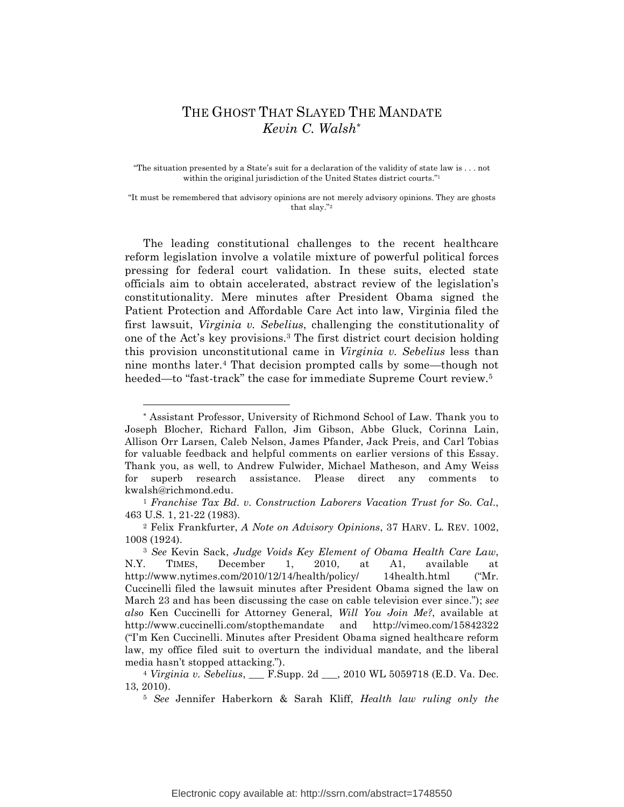# THE GHOST THAT SLAYED THE MANDATE *Kevin C. Walsh\**

"The situation presented by a State's suit for a declaration of the validity of state law is . . . not within the original jurisdiction of the United States district courts."1

"It must be remembered that advisory opinions are not merely advisory opinions. They are ghosts that slay."2

The leading constitutional challenges to the recent healthcare reform legislation involve a volatile mixture of powerful political forces pressing for federal court validation. In these suits, elected state officials aim to obtain accelerated, abstract review of the legislation's constitutionality. Mere minutes after President Obama signed the Patient Protection and Affordable Care Act into law, Virginia filed the first lawsuit, *Virginia v. Sebelius*, challenging the constitutionality of one of the Act's key provisions.3 The first district court decision holding this provision unconstitutional came in *Virginia v. Sebelius* less than nine months later.4 That decision prompted calls by some—though not heeded—to "fast-track" the case for immediate Supreme Court review.<sup>5</sup>

1

<sup>\*</sup> Assistant Professor, University of Richmond School of Law. Thank you to Joseph Blocher, Richard Fallon, Jim Gibson, Abbe Gluck, Corinna Lain, Allison Orr Larsen, Caleb Nelson, James Pfander, Jack Preis, and Carl Tobias for valuable feedback and helpful comments on earlier versions of this Essay. Thank you, as well, to Andrew Fulwider, Michael Matheson, and Amy Weiss for superb research assistance. Please direct any comments to kwalsh@richmond.edu.

<sup>1</sup> *Franchise Tax Bd. v. Construction Laborers Vacation Trust for So. Cal.*, 463 U.S. 1, 21-22 (1983).

<sup>2</sup> Felix Frankfurter, *A Note on Advisory Opinions*, 37 HARV. L. REV. 1002, 1008 (1924).

<sup>3</sup> *See* Kevin Sack, *Judge Voids Key Element of Obama Health Care Law*, N.Y. TIMES, December 1, 2010, at A1, available at http://www.nytimes.com/2010/12/14/health/policy/ 14health.html ("Mr. Cuccinelli filed the lawsuit minutes after President Obama signed the law on March 23 and has been discussing the case on cable television ever since."); *see also* Ken Cuccinelli for Attorney General, *Will You Join Me?*, available at http://www.cuccinelli.com/stopthemandate and http://vimeo.com/15842322 ("I'm Ken Cuccinelli. Minutes after President Obama signed healthcare reform law, my office filed suit to overturn the individual mandate, and the liberal media hasn't stopped attacking.").

<sup>&</sup>lt;sup>4</sup> *Virginia v. Sebelius*, F.Supp. 2d , 2010 WL 5059718 (E.D. Va. Dec. 13, 2010).

<sup>5</sup> *See* Jennifer Haberkorn & Sarah Kliff, *Health law ruling only the*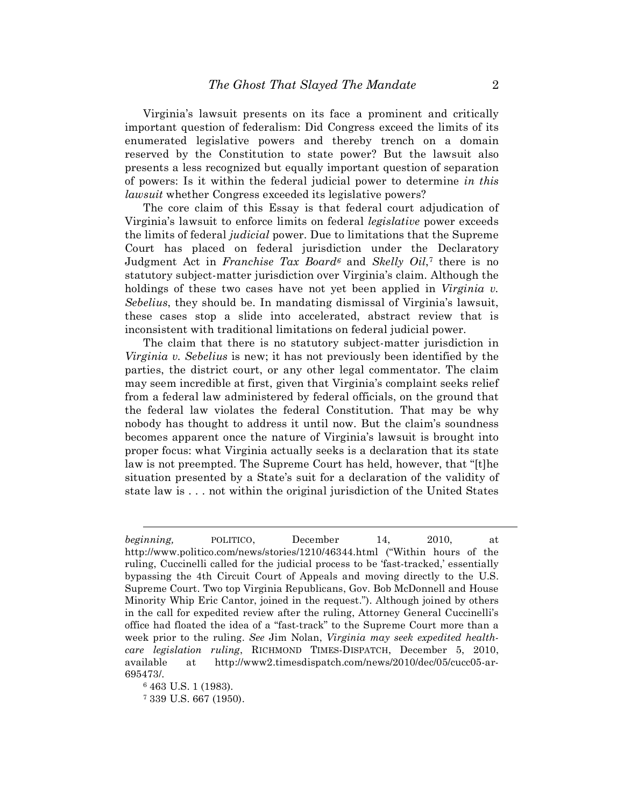Virginia's lawsuit presents on its face a prominent and critically important question of federalism: Did Congress exceed the limits of its enumerated legislative powers and thereby trench on a domain reserved by the Constitution to state power? But the lawsuit also presents a less recognized but equally important question of separation of powers: Is it within the federal judicial power to determine *in this lawsuit* whether Congress exceeded its legislative powers?

The core claim of this Essay is that federal court adjudication of Virginia's lawsuit to enforce limits on federal *legislative* power exceeds the limits of federal *judicial* power. Due to limitations that the Supreme Court has placed on federal jurisdiction under the Declaratory Judgment Act in *Franchise Tax Board6* and *Skelly Oil*,7 there is no statutory subject-matter jurisdiction over Virginia's claim. Although the holdings of these two cases have not yet been applied in *Virginia v. Sebelius*, they should be. In mandating dismissal of Virginia's lawsuit, these cases stop a slide into accelerated, abstract review that is inconsistent with traditional limitations on federal judicial power.

The claim that there is no statutory subject-matter jurisdiction in *Virginia v. Sebelius* is new; it has not previously been identified by the parties, the district court, or any other legal commentator. The claim may seem incredible at first, given that Virginia's complaint seeks relief from a federal law administered by federal officials, on the ground that the federal law violates the federal Constitution. That may be why nobody has thought to address it until now. But the claim's soundness becomes apparent once the nature of Virginia's lawsuit is brought into proper focus: what Virginia actually seeks is a declaration that its state law is not preempted. The Supreme Court has held, however, that "[t]he situation presented by a State's suit for a declaration of the validity of state law is . . . not within the original jurisdiction of the United States

 $\overline{a}$ 

*beginning,* POLITICO, December 14, 2010, at http://www.politico.com/news/stories/1210/46344.html ("Within hours of the ruling, Cuccinelli called for the judicial process to be 'fast-tracked,' essentially bypassing the 4th Circuit Court of Appeals and moving directly to the U.S. Supreme Court. Two top Virginia Republicans, Gov. Bob McDonnell and House Minority Whip Eric Cantor, joined in the request."). Although joined by others in the call for expedited review after the ruling, Attorney General Cuccinelli's office had floated the idea of a "fast-track" to the Supreme Court more than a week prior to the ruling. *See* Jim Nolan, *Virginia may seek expedited healthcare legislation ruling*, RICHMOND TIMES-DISPATCH, December 5, 2010, available at http://www2.timesdispatch.com/news/2010/dec/05/cucc05-ar-695473/.

<sup>6 463</sup> U.S. 1 (1983).

<sup>7</sup> 339 U.S. 667 (1950).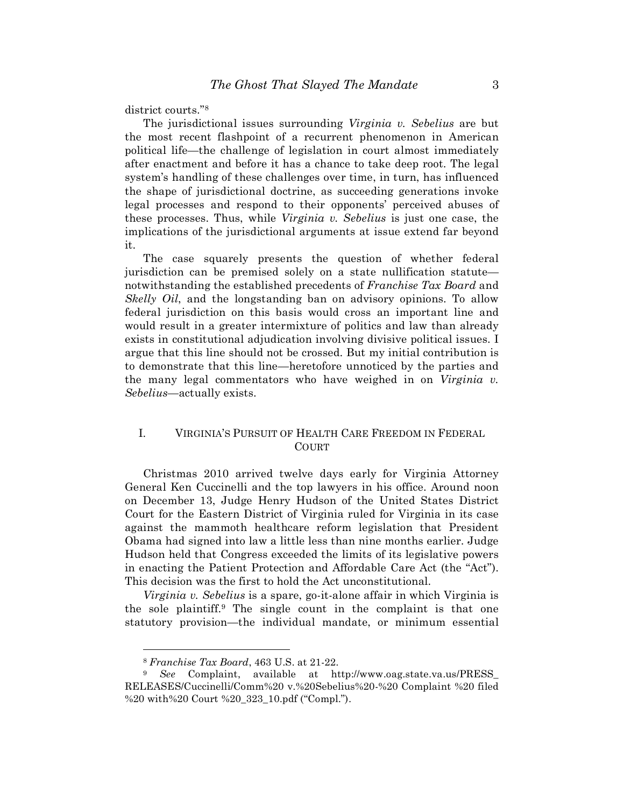district courts."8

The jurisdictional issues surrounding *Virginia v. Sebelius* are but the most recent flashpoint of a recurrent phenomenon in American political life—the challenge of legislation in court almost immediately after enactment and before it has a chance to take deep root. The legal system's handling of these challenges over time, in turn, has influenced the shape of jurisdictional doctrine, as succeeding generations invoke legal processes and respond to their opponents' perceived abuses of these processes. Thus, while *Virginia v. Sebelius* is just one case, the implications of the jurisdictional arguments at issue extend far beyond it.

The case squarely presents the question of whether federal jurisdiction can be premised solely on a state nullification statute notwithstanding the established precedents of *Franchise Tax Board* and *Skelly Oil*, and the longstanding ban on advisory opinions. To allow federal jurisdiction on this basis would cross an important line and would result in a greater intermixture of politics and law than already exists in constitutional adjudication involving divisive political issues. I argue that this line should not be crossed. But my initial contribution is to demonstrate that this line—heretofore unnoticed by the parties and the many legal commentators who have weighed in on *Virginia v. Sebelius*—actually exists.

### I. VIRGINIA'S PURSUIT OF HEALTH CARE FREEDOM IN FEDERAL COURT

Christmas 2010 arrived twelve days early for Virginia Attorney General Ken Cuccinelli and the top lawyers in his office. Around noon on December 13, Judge Henry Hudson of the United States District Court for the Eastern District of Virginia ruled for Virginia in its case against the mammoth healthcare reform legislation that President Obama had signed into law a little less than nine months earlier. Judge Hudson held that Congress exceeded the limits of its legislative powers in enacting the Patient Protection and Affordable Care Act (the "Act"). This decision was the first to hold the Act unconstitutional.

*Virginia v. Sebelius* is a spare, go-it-alone affair in which Virginia is the sole plaintiff.9 The single count in the complaint is that one statutory provision—the individual mandate, or minimum essential

<sup>8</sup> *Franchise Tax Board*, 463 U.S. at 21-22.

<sup>9</sup> *See* Complaint, available at http://www.oag.state.va.us/PRESS\_ RELEASES/Cuccinelli/Comm%20 v.%20Sebelius%20-%20 Complaint %20 filed %20 with%20 Court %20\_323\_10.pdf ("Compl.").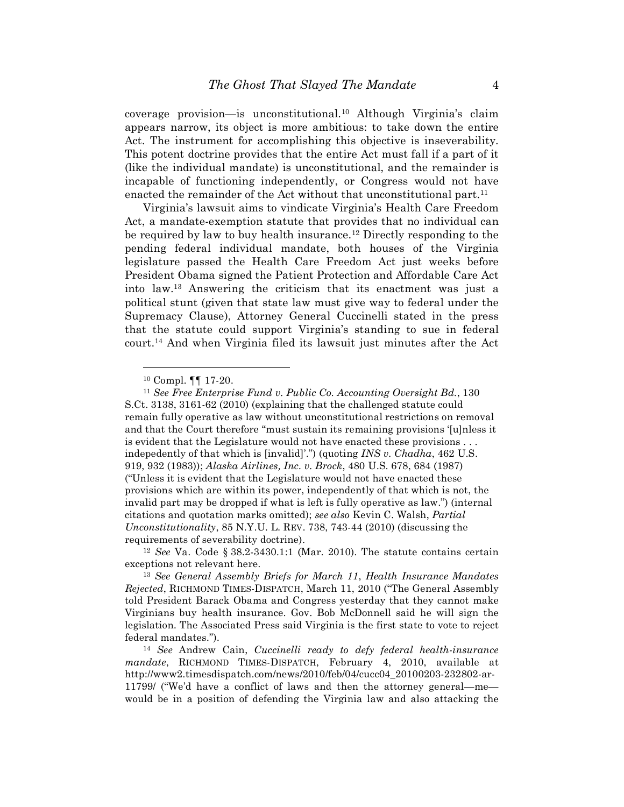coverage provision—is unconstitutional.10 Although Virginia's claim appears narrow, its object is more ambitious: to take down the entire Act. The instrument for accomplishing this objective is inseverability. This potent doctrine provides that the entire Act must fall if a part of it (like the individual mandate) is unconstitutional, and the remainder is incapable of functioning independently, or Congress would not have enacted the remainder of the Act without that unconstitutional part.<sup>11</sup>

Virginia's lawsuit aims to vindicate Virginia's Health Care Freedom Act, a mandate-exemption statute that provides that no individual can be required by law to buy health insurance.12 Directly responding to the pending federal individual mandate, both houses of the Virginia legislature passed the Health Care Freedom Act just weeks before President Obama signed the Patient Protection and Affordable Care Act into law.13 Answering the criticism that its enactment was just a political stunt (given that state law must give way to federal under the Supremacy Clause), Attorney General Cuccinelli stated in the press that the statute could support Virginia's standing to sue in federal court.14 And when Virginia filed its lawsuit just minutes after the Act

1

<sup>10</sup> Compl. ¶¶ 17-20.

<sup>11</sup> *See Free Enterprise Fund v. Public Co. Accounting Oversight Bd.*, 130 S.Ct. 3138, 3161-62 (2010) (explaining that the challenged statute could remain fully operative as law without unconstitutional restrictions on removal and that the Court therefore "must sustain its remaining provisions '[u]nless it is evident that the Legislature would not have enacted these provisions . . . indepedently of that which is [invalid]'.") (quoting *INS v. Chadha*, 462 U.S. 919, 932 (1983)); *Alaska Airlines, Inc. v. Brock*, 480 U.S. 678, 684 (1987) ("Unless it is evident that the Legislature would not have enacted these provisions which are within its power, independently of that which is not, the invalid part may be dropped if what is left is fully operative as law.") (internal citations and quotation marks omitted); *see also* Kevin C. Walsh, *Partial Unconstitutionality*, 85 N.Y.U. L. REV. 738, 743-44 (2010) (discussing the requirements of severability doctrine).

<sup>12</sup> *See* Va. Code § 38.2-3430.1:1 (Mar. 2010). The statute contains certain exceptions not relevant here.

<sup>13</sup> *See General Assembly Briefs for March 11*, *Health Insurance Mandates Rejected*, RICHMOND TIMES-DISPATCH, March 11, 2010 ("The General Assembly told President Barack Obama and Congress yesterday that they cannot make Virginians buy health insurance. Gov. Bob McDonnell said he will sign the legislation. The Associated Press said Virginia is the first state to vote to reject federal mandates.").

<sup>14</sup> *See* Andrew Cain, *Cuccinelli ready to defy federal health-insurance mandate*, RICHMOND TIMES-DISPATCH, February 4, 2010, available at http://www2.timesdispatch.com/news/2010/feb/04/cucc04\_20100203-232802-ar-11799/ ("We'd have a conflict of laws and then the attorney general—me would be in a position of defending the Virginia law and also attacking the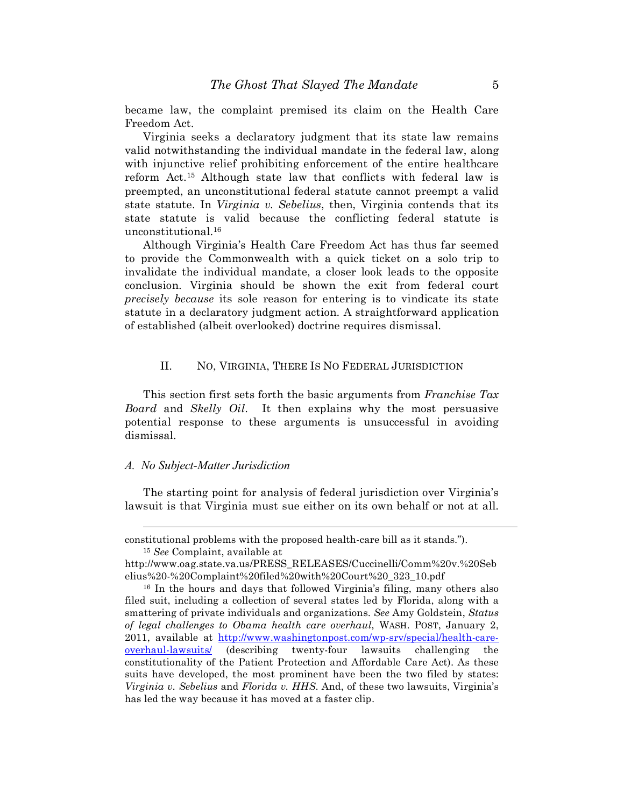became law, the complaint premised its claim on the Health Care Freedom Act.

Virginia seeks a declaratory judgment that its state law remains valid notwithstanding the individual mandate in the federal law, along with injunctive relief prohibiting enforcement of the entire healthcare reform Act.15 Although state law that conflicts with federal law is preempted, an unconstitutional federal statute cannot preempt a valid state statute. In *Virginia v. Sebelius*, then, Virginia contends that its state statute is valid because the conflicting federal statute is unconstitutional.16

Although Virginia's Health Care Freedom Act has thus far seemed to provide the Commonwealth with a quick ticket on a solo trip to invalidate the individual mandate, a closer look leads to the opposite conclusion. Virginia should be shown the exit from federal court *precisely because* its sole reason for entering is to vindicate its state statute in a declaratory judgment action. A straightforward application of established (albeit overlooked) doctrine requires dismissal.

### II. NO, VIRGINIA, THERE IS NO FEDERAL JURISDICTION

This section first sets forth the basic arguments from *Franchise Tax Board* and *Skelly Oil*. It then explains why the most persuasive potential response to these arguments is unsuccessful in avoiding dismissal.

### *A. No Subject-Matter Jurisdiction*

 $\overline{a}$ 

The starting point for analysis of federal jurisdiction over Virginia's lawsuit is that Virginia must sue either on its own behalf or not at all.

constitutional problems with the proposed health-care bill as it stands."). <sup>15</sup> *See* Complaint, available at

http://www.oag.state.va.us/PRESS\_RELEASES/Cuccinelli/Comm%20v.%20Seb elius%20-%20Complaint%20filed%20with%20Court%20\_323\_10.pdf

<sup>16</sup> In the hours and days that followed Virginia's filing, many others also filed suit, including a collection of several states led by Florida, along with a smattering of private individuals and organizations. *See* Amy Goldstein, *Status of legal challenges to Obama health care overhaul*, WASH. POST, January 2, 2011, available at http://www.washingtonpost.com/wp-srv/special/health-careoverhaul-lawsuits/ (describing twenty-four lawsuits challenging the constitutionality of the Patient Protection and Affordable Care Act). As these suits have developed, the most prominent have been the two filed by states: *Virginia v. Sebelius* and *Florida v. HHS*. And, of these two lawsuits, Virginia's has led the way because it has moved at a faster clip.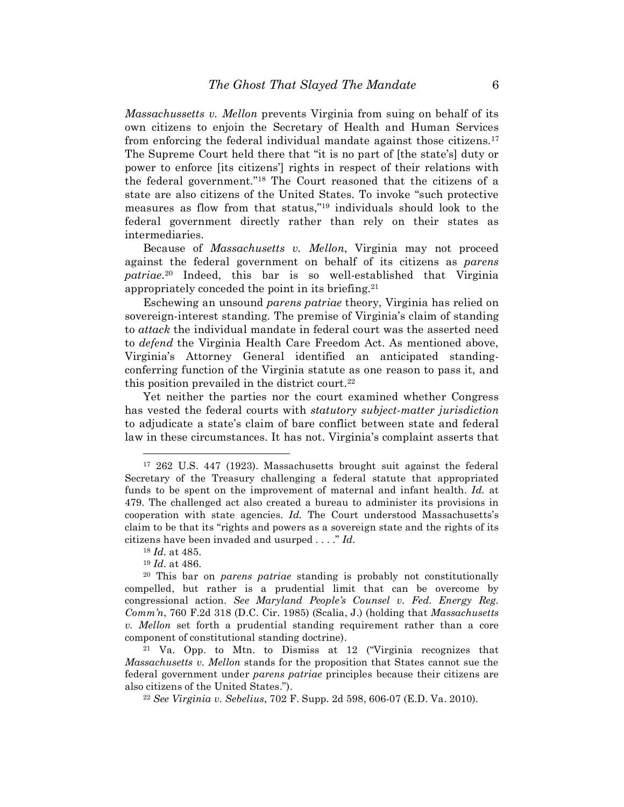*Massachussetts v. Mellon* prevents Virginia from suing on behalf of its own citizens to enjoin the Secretary of Health and Human Services from enforcing the federal individual mandate against those citizens.17 The Supreme Court held there that "it is no part of [the state's] duty or power to enforce [its citizens'] rights in respect of their relations with the federal government."18 The Court reasoned that the citizens of a state are also citizens of the United States. To invoke "such protective measures as flow from that status,"19 individuals should look to the federal government directly rather than rely on their states as intermediaries.

Because of *Massachusetts v. Mellon*, Virginia may not proceed against the federal government on behalf of its citizens as *parens patriae*.20 Indeed, this bar is so well-established that Virginia appropriately conceded the point in its briefing.21

Eschewing an unsound *parens patriae* theory, Virginia has relied on sovereign-interest standing. The premise of Virginia's claim of standing to *attack* the individual mandate in federal court was the asserted need to *defend* the Virginia Health Care Freedom Act. As mentioned above, Virginia's Attorney General identified an anticipated standingconferring function of the Virginia statute as one reason to pass it, and this position prevailed in the district court.<sup>22</sup>

Yet neither the parties nor the court examined whether Congress has vested the federal courts with *statutory subject-matter jurisdiction*  to adjudicate a state's claim of bare conflict between state and federal law in these circumstances. It has not. Virginia's complaint asserts that

<u>.</u>

<sup>21</sup> Va. Opp. to Mtn. to Dismiss at 12 ("Virginia recognizes that *Massachusetts v. Mellon* stands for the proposition that States cannot sue the federal government under *parens patriae* principles because their citizens are also citizens of the United States.").

<sup>22</sup> *See Virginia v. Sebelius*, 702 F. Supp. 2d 598, 606-07 (E.D. Va. 2010).

<sup>17 262</sup> U.S. 447 (1923). Massachusetts brought suit against the federal Secretary of the Treasury challenging a federal statute that appropriated funds to be spent on the improvement of maternal and infant health. *Id.* at 479. The challenged act also created a bureau to administer its provisions in cooperation with state agencies. *Id.* The Court understood Massachusetts's claim to be that its "rights and powers as a sovereign state and the rights of its citizens have been invaded and usurped . . . ." *Id.*

<sup>18</sup> *Id.* at 485.

<sup>19</sup> *Id.* at 486.

<sup>20</sup> This bar on *parens patriae* standing is probably not constitutionally compelled, but rather is a prudential limit that can be overcome by congressional action. *See Maryland People's Counsel v. Fed. Energy Reg. Comm'n*, 760 F.2d 318 (D.C. Cir. 1985) (Scalia, J.) (holding that *Massachusetts v. Mellon* set forth a prudential standing requirement rather than a core component of constitutional standing doctrine).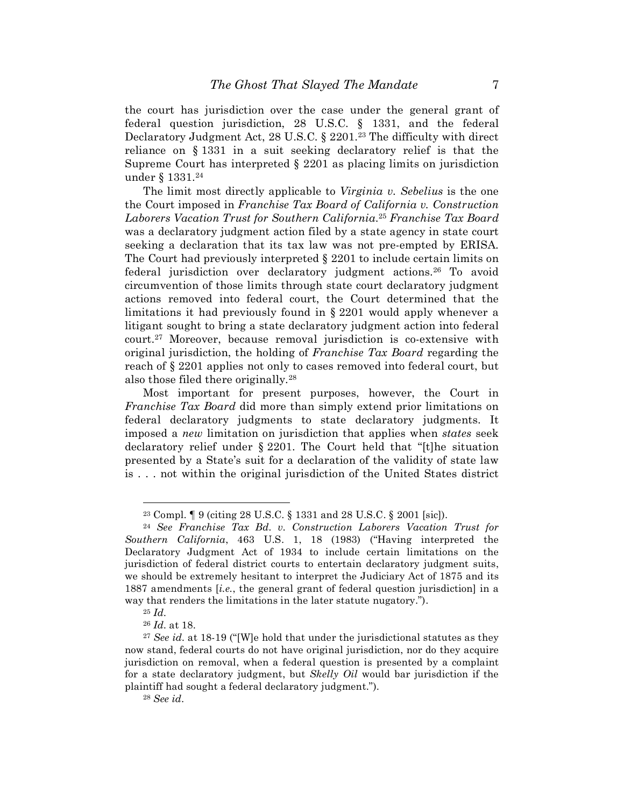the court has jurisdiction over the case under the general grant of federal question jurisdiction, 28 U.S.C. § 1331, and the federal Declaratory Judgment Act, 28 U.S.C. § 2201.<sup>23</sup> The difficulty with direct reliance on § 1331 in a suit seeking declaratory relief is that the Supreme Court has interpreted § 2201 as placing limits on jurisdiction under § 1331.24

The limit most directly applicable to *Virginia v. Sebelius* is the one the Court imposed in *Franchise Tax Board of California v. Construction Laborers Vacation Trust for Southern California*.25 *Franchise Tax Board*  was a declaratory judgment action filed by a state agency in state court seeking a declaration that its tax law was not pre-empted by ERISA. The Court had previously interpreted  $\S 2201$  to include certain limits on federal jurisdiction over declaratory judgment actions.<sup>26</sup> To avoid circumvention of those limits through state court declaratory judgment actions removed into federal court, the Court determined that the limitations it had previously found in § 2201 would apply whenever a litigant sought to bring a state declaratory judgment action into federal court.27 Moreover, because removal jurisdiction is co-extensive with original jurisdiction, the holding of *Franchise Tax Board* regarding the reach of § 2201 applies not only to cases removed into federal court, but also those filed there originally.28

Most important for present purposes, however, the Court in *Franchise Tax Board* did more than simply extend prior limitations on federal declaratory judgments to state declaratory judgments. It imposed a *new* limitation on jurisdiction that applies when *states* seek declaratory relief under § 2201. The Court held that "[t]he situation presented by a State's suit for a declaration of the validity of state law is . . . not within the original jurisdiction of the United States district

<sup>23</sup> Compl. ¶ 9 (citing 28 U.S.C. § 1331 and 28 U.S.C. § 2001 [sic]).

<sup>24</sup> *See Franchise Tax Bd. v. Construction Laborers Vacation Trust for Southern California*, 463 U.S. 1, 18 (1983) ("Having interpreted the Declaratory Judgment Act of 1934 to include certain limitations on the jurisdiction of federal district courts to entertain declaratory judgment suits, we should be extremely hesitant to interpret the Judiciary Act of 1875 and its 1887 amendments [*i.e.*, the general grant of federal question jurisdiction] in a way that renders the limitations in the later statute nugatory.").

<sup>25</sup> *Id.*

<sup>26</sup> *Id.* at 18.

<sup>27</sup> *See id.* at 18-19 ("[W]e hold that under the jurisdictional statutes as they now stand, federal courts do not have original jurisdiction, nor do they acquire jurisdiction on removal, when a federal question is presented by a complaint for a state declaratory judgment, but *Skelly Oil* would bar jurisdiction if the plaintiff had sought a federal declaratory judgment.").

<sup>28</sup> *See id.*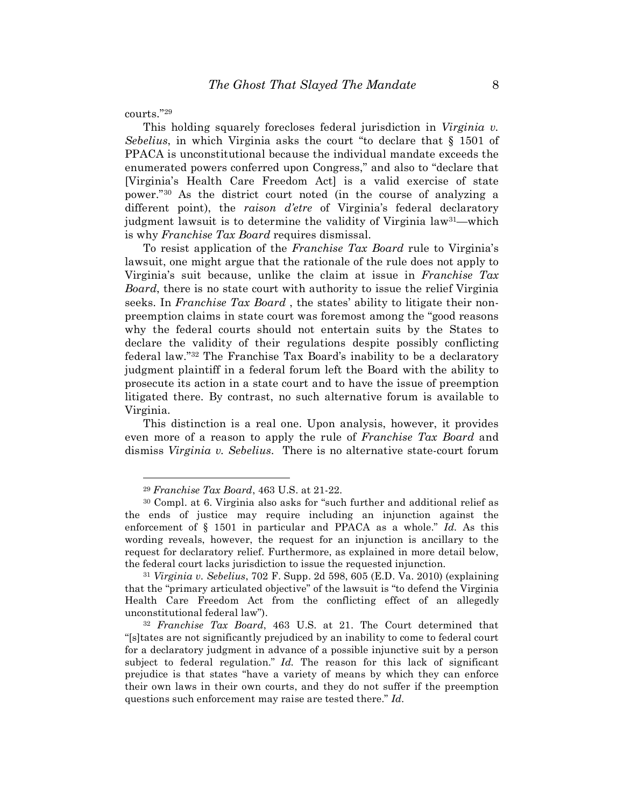courts."29

<u>.</u>

This holding squarely forecloses federal jurisdiction in *Virginia v. Sebelius*, in which Virginia asks the court "to declare that § 1501 of PPACA is unconstitutional because the individual mandate exceeds the enumerated powers conferred upon Congress," and also to "declare that [Virginia's Health Care Freedom Act] is a valid exercise of state power."30 As the district court noted (in the course of analyzing a different point), the *raison d'etre* of Virginia's federal declaratory judgment lawsuit is to determine the validity of Virginia law<sup>31</sup>—which is why *Franchise Tax Board* requires dismissal.

To resist application of the *Franchise Tax Board* rule to Virginia's lawsuit, one might argue that the rationale of the rule does not apply to Virginia's suit because, unlike the claim at issue in *Franchise Tax Board*, there is no state court with authority to issue the relief Virginia seeks. In *Franchise Tax Board* , the states' ability to litigate their nonpreemption claims in state court was foremost among the "good reasons why the federal courts should not entertain suits by the States to declare the validity of their regulations despite possibly conflicting federal law."32 The Franchise Tax Board's inability to be a declaratory judgment plaintiff in a federal forum left the Board with the ability to prosecute its action in a state court and to have the issue of preemption litigated there. By contrast, no such alternative forum is available to Virginia.

This distinction is a real one. Upon analysis, however, it provides even more of a reason to apply the rule of *Franchise Tax Board* and dismiss *Virginia v. Sebelius*. There is no alternative state-court forum

<sup>29</sup> *Franchise Tax Board*, 463 U.S. at 21-22.

<sup>30</sup> Compl. at 6. Virginia also asks for "such further and additional relief as the ends of justice may require including an injunction against the enforcement of § 1501 in particular and PPACA as a whole." *Id.* As this wording reveals, however, the request for an injunction is ancillary to the request for declaratory relief. Furthermore, as explained in more detail below, the federal court lacks jurisdiction to issue the requested injunction.

<sup>31</sup> *Virginia v. Sebelius*, 702 F. Supp. 2d 598, 605 (E.D. Va. 2010) (explaining that the "primary articulated objective" of the lawsuit is "to defend the Virginia Health Care Freedom Act from the conflicting effect of an allegedly unconstitutional federal law").

<sup>32</sup> *Franchise Tax Board*, 463 U.S. at 21. The Court determined that "[s]tates are not significantly prejudiced by an inability to come to federal court for a declaratory judgment in advance of a possible injunctive suit by a person subject to federal regulation." *Id.* The reason for this lack of significant prejudice is that states "have a variety of means by which they can enforce their own laws in their own courts, and they do not suffer if the preemption questions such enforcement may raise are tested there." *Id.*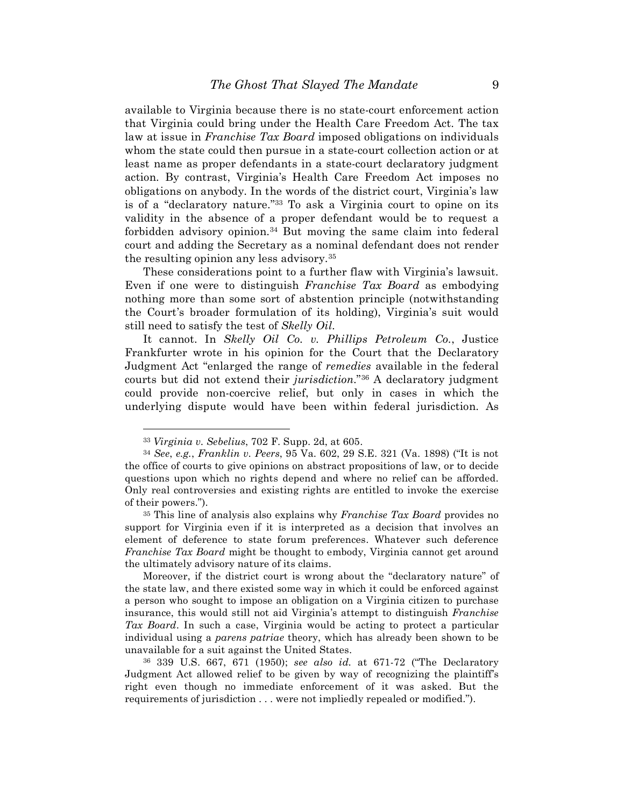available to Virginia because there is no state-court enforcement action that Virginia could bring under the Health Care Freedom Act. The tax law at issue in *Franchise Tax Board* imposed obligations on individuals whom the state could then pursue in a state-court collection action or at least name as proper defendants in a state-court declaratory judgment action. By contrast, Virginia's Health Care Freedom Act imposes no obligations on anybody. In the words of the district court, Virginia's law is of a "declaratory nature."33 To ask a Virginia court to opine on its validity in the absence of a proper defendant would be to request a forbidden advisory opinion.<sup>34</sup> But moving the same claim into federal court and adding the Secretary as a nominal defendant does not render the resulting opinion any less advisory.35

These considerations point to a further flaw with Virginia's lawsuit. Even if one were to distinguish *Franchise Tax Board* as embodying nothing more than some sort of abstention principle (notwithstanding the Court's broader formulation of its holding), Virginia's suit would still need to satisfy the test of *Skelly Oil*.

It cannot. In *Skelly Oil Co. v. Phillips Petroleum Co.*, Justice Frankfurter wrote in his opinion for the Court that the Declaratory Judgment Act "enlarged the range of *remedies* available in the federal courts but did not extend their *jurisdiction*."36 A declaratory judgment could provide non-coercive relief, but only in cases in which the underlying dispute would have been within federal jurisdiction. As

<sup>33</sup> *Virginia v. Sebelius*, 702 F. Supp. 2d, at 605.

<sup>34</sup> *See*, *e.g.*, *Franklin v. Peers*, 95 Va. 602, 29 S.E. 321 (Va. 1898) ("It is not the office of courts to give opinions on abstract propositions of law, or to decide questions upon which no rights depend and where no relief can be afforded. Only real controversies and existing rights are entitled to invoke the exercise of their powers.").

<sup>35</sup> This line of analysis also explains why *Franchise Tax Board* provides no support for Virginia even if it is interpreted as a decision that involves an element of deference to state forum preferences. Whatever such deference *Franchise Tax Board* might be thought to embody, Virginia cannot get around the ultimately advisory nature of its claims.

Moreover, if the district court is wrong about the "declaratory nature" of the state law, and there existed some way in which it could be enforced against a person who sought to impose an obligation on a Virginia citizen to purchase insurance, this would still not aid Virginia's attempt to distinguish *Franchise Tax Board*. In such a case, Virginia would be acting to protect a particular individual using a *parens patriae* theory, which has already been shown to be unavailable for a suit against the United States.

<sup>36 339</sup> U.S. 667, 671 (1950); *see also id.* at 671-72 ("The Declaratory Judgment Act allowed relief to be given by way of recognizing the plaintiff's right even though no immediate enforcement of it was asked. But the requirements of jurisdiction . . . were not impliedly repealed or modified.").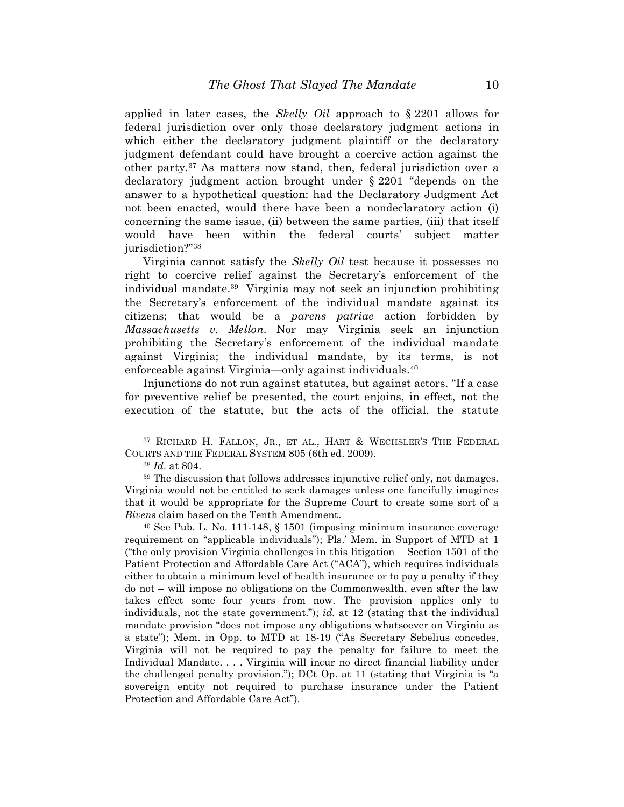applied in later cases, the *Skelly Oil* approach to § 2201 allows for federal jurisdiction over only those declaratory judgment actions in which either the declaratory judgment plaintiff or the declaratory judgment defendant could have brought a coercive action against the other party.37 As matters now stand, then, federal jurisdiction over a declaratory judgment action brought under § 2201 "depends on the answer to a hypothetical question: had the Declaratory Judgment Act not been enacted, would there have been a nondeclaratory action (i) concerning the same issue, (ii) between the same parties, (iii) that itself would have been within the federal courts' subject matter jurisdiction?"38

Virginia cannot satisfy the *Skelly Oil* test because it possesses no right to coercive relief against the Secretary's enforcement of the individual mandate.39 Virginia may not seek an injunction prohibiting the Secretary's enforcement of the individual mandate against its citizens; that would be a *parens patriae* action forbidden by *Massachusetts v. Mellon*. Nor may Virginia seek an injunction prohibiting the Secretary's enforcement of the individual mandate against Virginia; the individual mandate, by its terms, is not enforceable against Virginia—only against individuals.40

Injunctions do not run against statutes, but against actors. "If a case for preventive relief be presented, the court enjoins, in effect, not the execution of the statute, but the acts of the official, the statute

<sup>37</sup> RICHARD H. FALLON, JR., ET AL., HART & WECHSLER'S THE FEDERAL COURTS AND THE FEDERAL SYSTEM 805 (6th ed. 2009).

<sup>38</sup> *Id.* at 804.

<sup>39</sup> The discussion that follows addresses injunctive relief only, not damages. Virginia would not be entitled to seek damages unless one fancifully imagines that it would be appropriate for the Supreme Court to create some sort of a *Bivens* claim based on the Tenth Amendment.

<sup>40</sup> See Pub. L. No. 111-148, § 1501 (imposing minimum insurance coverage requirement on "applicable individuals"); Pls.' Mem. in Support of MTD at 1 ("the only provision Virginia challenges in this litigation – Section 1501 of the Patient Protection and Affordable Care Act ("ACA"), which requires individuals either to obtain a minimum level of health insurance or to pay a penalty if they do not – will impose no obligations on the Commonwealth, even after the law takes effect some four years from now. The provision applies only to individuals, not the state government."); *id.* at 12 (stating that the individual mandate provision "does not impose any obligations whatsoever on Virginia as a state"); Mem. in Opp. to MTD at 18-19 ("As Secretary Sebelius concedes, Virginia will not be required to pay the penalty for failure to meet the Individual Mandate. . . . Virginia will incur no direct financial liability under the challenged penalty provision."); DCt Op. at 11 (stating that Virginia is "a sovereign entity not required to purchase insurance under the Patient Protection and Affordable Care Act").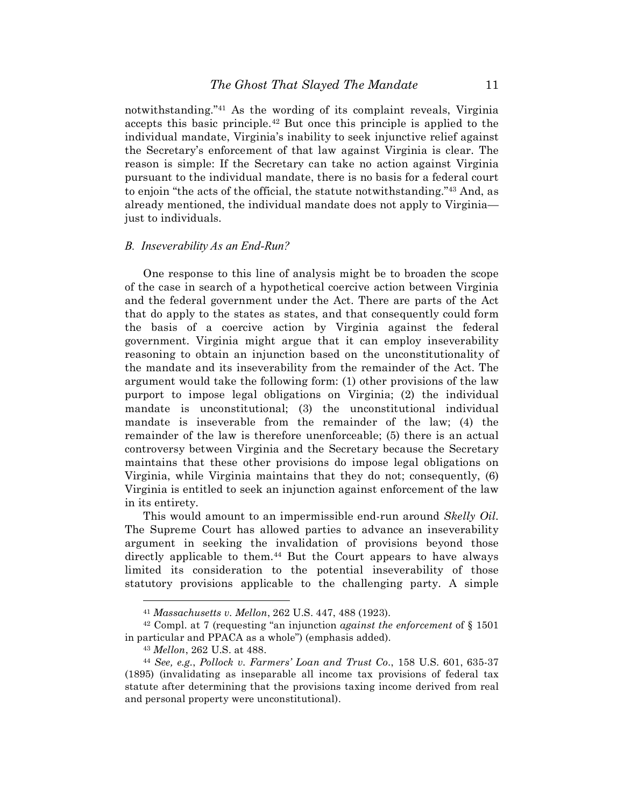notwithstanding."41 As the wording of its complaint reveals, Virginia accepts this basic principle.42 But once this principle is applied to the individual mandate, Virginia's inability to seek injunctive relief against the Secretary's enforcement of that law against Virginia is clear. The reason is simple: If the Secretary can take no action against Virginia pursuant to the individual mandate, there is no basis for a federal court to enjoin "the acts of the official, the statute notwithstanding."43 And, as already mentioned, the individual mandate does not apply to Virginia just to individuals.

#### *B. Inseverability As an End-Run?*

One response to this line of analysis might be to broaden the scope of the case in search of a hypothetical coercive action between Virginia and the federal government under the Act. There are parts of the Act that do apply to the states as states, and that consequently could form the basis of a coercive action by Virginia against the federal government. Virginia might argue that it can employ inseverability reasoning to obtain an injunction based on the unconstitutionality of the mandate and its inseverability from the remainder of the Act. The argument would take the following form: (1) other provisions of the law purport to impose legal obligations on Virginia; (2) the individual mandate is unconstitutional; (3) the unconstitutional individual mandate is inseverable from the remainder of the law; (4) the remainder of the law is therefore unenforceable; (5) there is an actual controversy between Virginia and the Secretary because the Secretary maintains that these other provisions do impose legal obligations on Virginia, while Virginia maintains that they do not; consequently, (6) Virginia is entitled to seek an injunction against enforcement of the law in its entirety.

This would amount to an impermissible end-run around *Skelly Oil*. The Supreme Court has allowed parties to advance an inseverability argument in seeking the invalidation of provisions beyond those directly applicable to them.44 But the Court appears to have always limited its consideration to the potential inseverability of those statutory provisions applicable to the challenging party. A simple

<sup>41</sup> *Massachusetts v. Mellon*, 262 U.S. 447, 488 (1923).

<sup>42</sup> Compl. at 7 (requesting "an injunction *against the enforcement* of § 1501 in particular and PPACA as a whole") (emphasis added).

<sup>43</sup> *Mellon*, 262 U.S. at 488.

<sup>44</sup> *See, e.g.*, *Pollock v. Farmers' Loan and Trust Co.*, 158 U.S. 601, 635-37 (1895) (invalidating as inseparable all income tax provisions of federal tax statute after determining that the provisions taxing income derived from real and personal property were unconstitutional).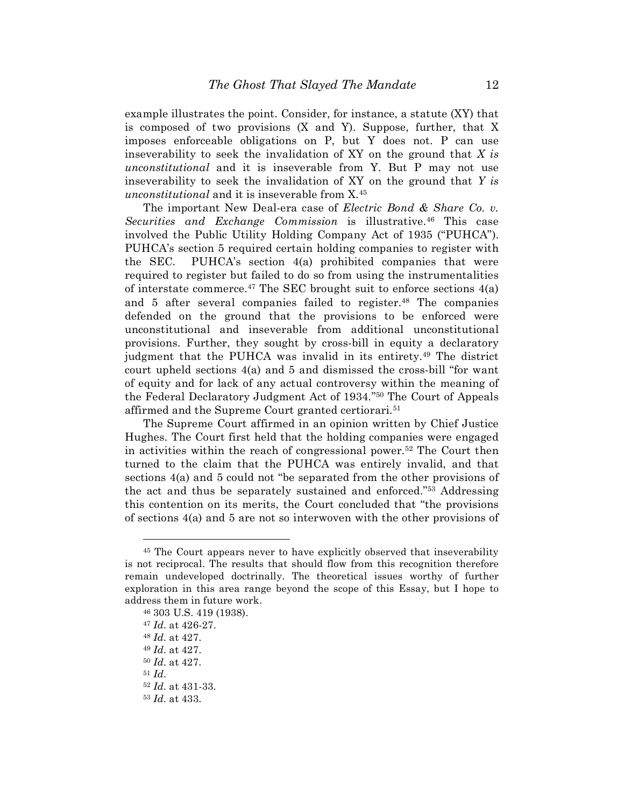example illustrates the point. Consider, for instance, a statute (XY) that is composed of two provisions (X and Y). Suppose, further, that X imposes enforceable obligations on P, but Y does not. P can use inseverability to seek the invalidation of XY on the ground that *X is unconstitutional* and it is inseverable from Y. But P may not use inseverability to seek the invalidation of XY on the ground that *Y is unconstitutional* and it is inseverable from X.45

The important New Deal-era case of *Electric Bond & Share Co. v. Securities and Exchange Commission* is illustrative.46 This case involved the Public Utility Holding Company Act of 1935 ("PUHCA"). PUHCA's section 5 required certain holding companies to register with the SEC. PUHCA's section 4(a) prohibited companies that were required to register but failed to do so from using the instrumentalities of interstate commerce. $47$  The SEC brought suit to enforce sections  $4(a)$ and 5 after several companies failed to register.<sup>48</sup> The companies defended on the ground that the provisions to be enforced were unconstitutional and inseverable from additional unconstitutional provisions. Further, they sought by cross-bill in equity a declaratory judgment that the PUHCA was invalid in its entirety.<sup>49</sup> The district court upheld sections 4(a) and 5 and dismissed the cross-bill "for want of equity and for lack of any actual controversy within the meaning of the Federal Declaratory Judgment Act of 1934."50 The Court of Appeals affirmed and the Supreme Court granted certiorari.51

The Supreme Court affirmed in an opinion written by Chief Justice Hughes. The Court first held that the holding companies were engaged in activities within the reach of congressional power.52 The Court then turned to the claim that the PUHCA was entirely invalid, and that sections 4(a) and 5 could not "be separated from the other provisions of the act and thus be separately sustained and enforced."53 Addressing this contention on its merits, the Court concluded that "the provisions of sections 4(a) and 5 are not so interwoven with the other provisions of

<sup>45</sup> The Court appears never to have explicitly observed that inseverability is not reciprocal. The results that should flow from this recognition therefore remain undeveloped doctrinally. The theoretical issues worthy of further exploration in this area range beyond the scope of this Essay, but I hope to address them in future work.

<sup>46</sup> 303 U.S. 419 (1938).

<sup>47</sup> *Id.* at 426-27.

<sup>48</sup> *Id.* at 427.

<sup>49</sup> *Id.* at 427.

<sup>50</sup> *Id.* at 427.

<sup>51</sup> *Id.*

<sup>52</sup> *Id.* at 431-33.

<sup>53</sup> *Id.* at 433.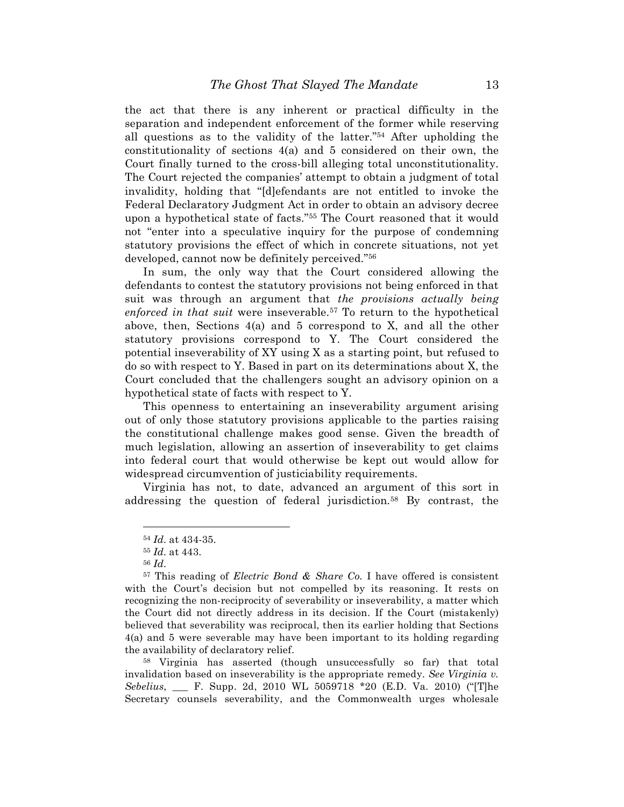the act that there is any inherent or practical difficulty in the separation and independent enforcement of the former while reserving all questions as to the validity of the latter."54 After upholding the constitutionality of sections 4(a) and 5 considered on their own, the Court finally turned to the cross-bill alleging total unconstitutionality. The Court rejected the companies' attempt to obtain a judgment of total invalidity, holding that "[d]efendants are not entitled to invoke the Federal Declaratory Judgment Act in order to obtain an advisory decree upon a hypothetical state of facts."55 The Court reasoned that it would not "enter into a speculative inquiry for the purpose of condemning statutory provisions the effect of which in concrete situations, not yet developed, cannot now be definitely perceived."56

In sum, the only way that the Court considered allowing the defendants to contest the statutory provisions not being enforced in that suit was through an argument that *the provisions actually being enforced in that suit* were inseverable.57 To return to the hypothetical above, then, Sections 4(a) and 5 correspond to X, and all the other statutory provisions correspond to Y. The Court considered the potential inseverability of XY using X as a starting point, but refused to do so with respect to Y. Based in part on its determinations about X, the Court concluded that the challengers sought an advisory opinion on a hypothetical state of facts with respect to Y.

This openness to entertaining an inseverability argument arising out of only those statutory provisions applicable to the parties raising the constitutional challenge makes good sense. Given the breadth of much legislation, allowing an assertion of inseverability to get claims into federal court that would otherwise be kept out would allow for widespread circumvention of justiciability requirements.

Virginia has not, to date, advanced an argument of this sort in addressing the question of federal jurisdiction.58 By contrast, the

<u>.</u>

58 Virginia has asserted (though unsuccessfully so far) that total invalidation based on inseverability is the appropriate remedy. *See Virginia v. Sebelius*, \_\_\_ F. Supp. 2d, 2010 WL 5059718 \*20 (E.D. Va. 2010) ("[T]he Secretary counsels severability, and the Commonwealth urges wholesale

<sup>54</sup> *Id.* at 434-35.

<sup>55</sup> *Id.* at 443.

<sup>56</sup> *Id.*

<sup>57</sup> This reading of *Electric Bond & Share Co.* I have offered is consistent with the Court's decision but not compelled by its reasoning. It rests on recognizing the non-reciprocity of severability or inseverability, a matter which the Court did not directly address in its decision. If the Court (mistakenly) believed that severability was reciprocal, then its earlier holding that Sections 4(a) and 5 were severable may have been important to its holding regarding the availability of declaratory relief.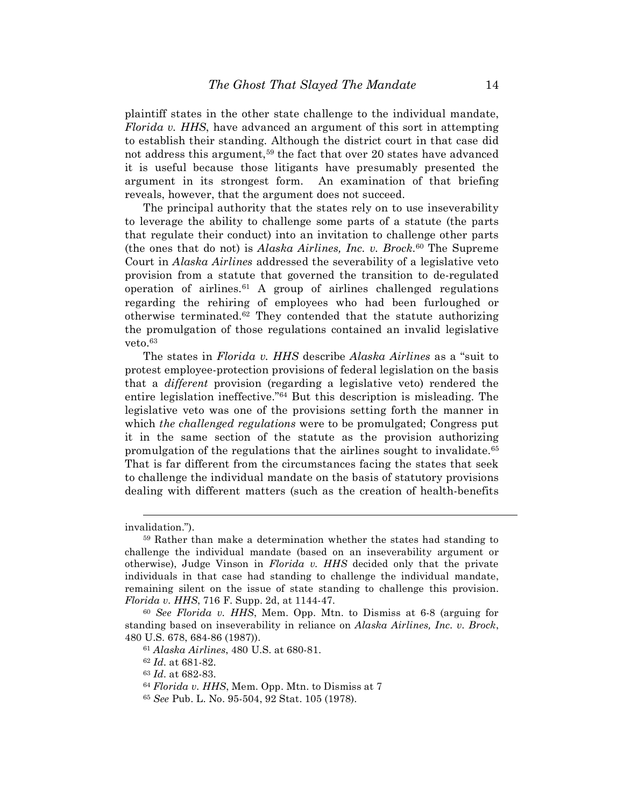plaintiff states in the other state challenge to the individual mandate, *Florida v. HHS*, have advanced an argument of this sort in attempting to establish their standing. Although the district court in that case did not address this argument,<sup>59</sup> the fact that over 20 states have advanced it is useful because those litigants have presumably presented the argument in its strongest form. An examination of that briefing reveals, however, that the argument does not succeed.

The principal authority that the states rely on to use inseverability to leverage the ability to challenge some parts of a statute (the parts that regulate their conduct) into an invitation to challenge other parts (the ones that do not) is *Alaska Airlines, Inc. v. Brock*.60 The Supreme Court in *Alaska Airlines* addressed the severability of a legislative veto provision from a statute that governed the transition to de-regulated operation of airlines. $61$  A group of airlines challenged regulations regarding the rehiring of employees who had been furloughed or otherwise terminated.62 They contended that the statute authorizing the promulgation of those regulations contained an invalid legislative veto.63

The states in *Florida v. HHS* describe *Alaska Airlines* as a "suit to protest employee-protection provisions of federal legislation on the basis that a *different* provision (regarding a legislative veto) rendered the entire legislation ineffective."64 But this description is misleading. The legislative veto was one of the provisions setting forth the manner in which *the challenged regulations* were to be promulgated; Congress put it in the same section of the statute as the provision authorizing promulgation of the regulations that the airlines sought to invalidate.65 That is far different from the circumstances facing the states that seek to challenge the individual mandate on the basis of statutory provisions dealing with different matters (such as the creation of health-benefits

 $\overline{a}$ 

invalidation.").

<sup>59</sup> Rather than make a determination whether the states had standing to challenge the individual mandate (based on an inseverability argument or otherwise), Judge Vinson in *Florida v. HHS* decided only that the private individuals in that case had standing to challenge the individual mandate, remaining silent on the issue of state standing to challenge this provision. *Florida v. HHS*, 716 F. Supp. 2d, at 1144-47.

<sup>60</sup> *See Florida v. HHS*, Mem. Opp. Mtn. to Dismiss at 6-8 (arguing for standing based on inseverability in reliance on *Alaska Airlines, Inc. v. Brock*, 480 U.S. 678, 684-86 (1987)).

<sup>61</sup> *Alaska Airlines*, 480 U.S. at 680-81.

<sup>62</sup> *Id.* at 681-82.

<sup>63</sup> *Id.* at 682-83.

<sup>64</sup> *Florida v. HHS*, Mem. Opp. Mtn. to Dismiss at 7

<sup>65</sup> *See* Pub. L. No. 95-504, 92 Stat. 105 (1978).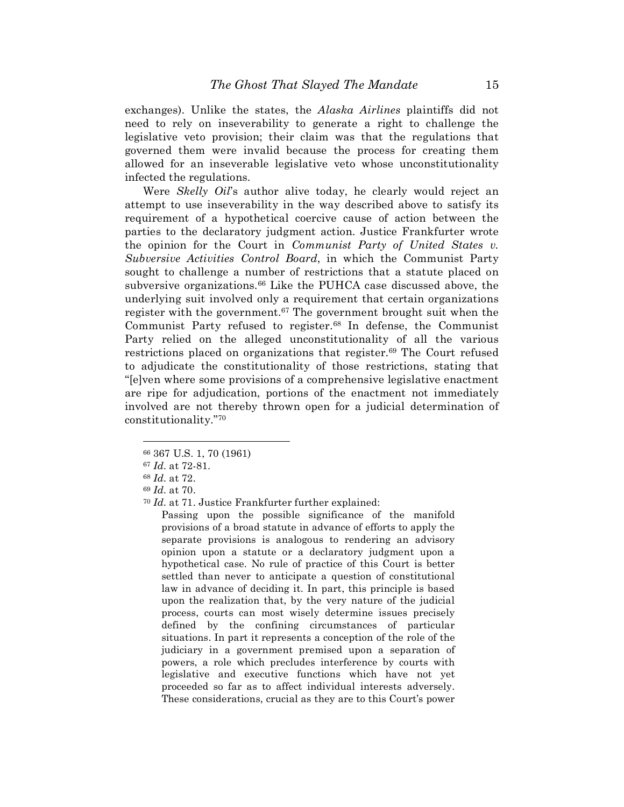exchanges). Unlike the states, the *Alaska Airlines* plaintiffs did not need to rely on inseverability to generate a right to challenge the legislative veto provision; their claim was that the regulations that governed them were invalid because the process for creating them allowed for an inseverable legislative veto whose unconstitutionality infected the regulations.

Were *Skelly Oil*'s author alive today, he clearly would reject an attempt to use inseverability in the way described above to satisfy its requirement of a hypothetical coercive cause of action between the parties to the declaratory judgment action. Justice Frankfurter wrote the opinion for the Court in *Communist Party of United States v. Subversive Activities Control Board*, in which the Communist Party sought to challenge a number of restrictions that a statute placed on subversive organizations.<sup>66</sup> Like the PUHCA case discussed above, the underlying suit involved only a requirement that certain organizations register with the government.<sup>67</sup> The government brought suit when the Communist Party refused to register.68 In defense, the Communist Party relied on the alleged unconstitutionality of all the various restrictions placed on organizations that register.<sup>69</sup> The Court refused to adjudicate the constitutionality of those restrictions, stating that "[e]ven where some provisions of a comprehensive legislative enactment are ripe for adjudication, portions of the enactment not immediately involved are not thereby thrown open for a judicial determination of constitutionality."70

<u>.</u>

<sup>70</sup> *Id.* at 71. Justice Frankfurter further explained:

Passing upon the possible significance of the manifold provisions of a broad statute in advance of efforts to apply the separate provisions is analogous to rendering an advisory opinion upon a statute or a declaratory judgment upon a hypothetical case. No rule of practice of this Court is better settled than never to anticipate a question of constitutional law in advance of deciding it. In part, this principle is based upon the realization that, by the very nature of the judicial process, courts can most wisely determine issues precisely defined by the confining circumstances of particular situations. In part it represents a conception of the role of the judiciary in a government premised upon a separation of powers, a role which precludes interference by courts with legislative and executive functions which have not yet proceeded so far as to affect individual interests adversely. These considerations, crucial as they are to this Court's power

<sup>66</sup> 367 U.S. 1, 70 (1961)

<sup>67</sup> *Id.* at 72-81.

<sup>68</sup> *Id.* at 72.

<sup>69</sup> *Id.* at 70.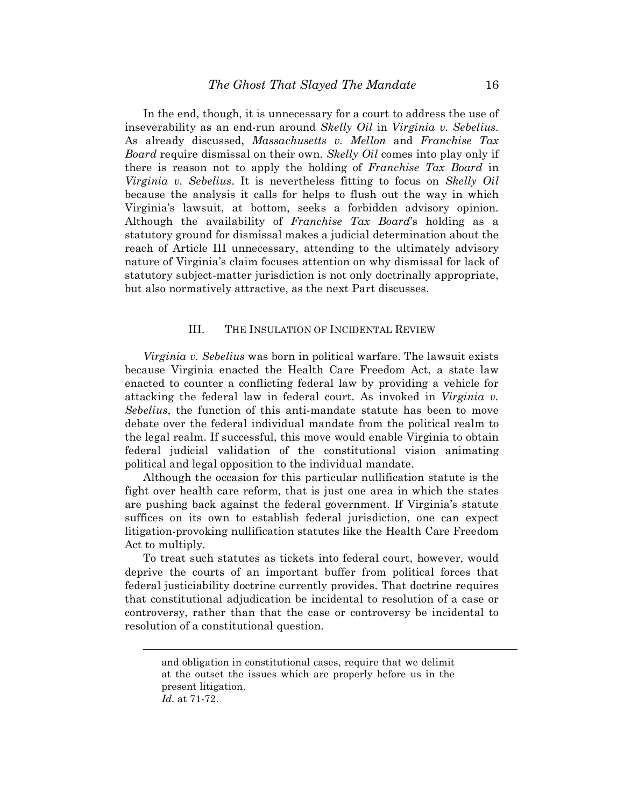In the end, though, it is unnecessary for a court to address the use of inseverability as an end-run around *Skelly Oil* in *Virginia v. Sebelius*. As already discussed, *Massachusetts v. Mellon* and *Franchise Tax Board* require dismissal on their own. *Skelly Oil* comes into play only if there is reason not to apply the holding of *Franchise Tax Board* in *Virginia v. Sebelius*. It is nevertheless fitting to focus on *Skelly Oil* because the analysis it calls for helps to flush out the way in which Virginia's lawsuit, at bottom, seeks a forbidden advisory opinion. Although the availability of *Franchise Tax Board*'s holding as a statutory ground for dismissal makes a judicial determination about the reach of Article III unnecessary, attending to the ultimately advisory nature of Virginia's claim focuses attention on why dismissal for lack of statutory subject-matter jurisdiction is not only doctrinally appropriate, but also normatively attractive, as the next Part discusses.

#### III. THE INSULATION OF INCIDENTAL REVIEW

*Virginia v. Sebelius* was born in political warfare. The lawsuit exists because Virginia enacted the Health Care Freedom Act, a state law enacted to counter a conflicting federal law by providing a vehicle for attacking the federal law in federal court. As invoked in *Virginia v. Sebelius*, the function of this anti-mandate statute has been to move debate over the federal individual mandate from the political realm to the legal realm. If successful, this move would enable Virginia to obtain federal judicial validation of the constitutional vision animating political and legal opposition to the individual mandate.

Although the occasion for this particular nullification statute is the fight over health care reform, that is just one area in which the states are pushing back against the federal government. If Virginia's statute suffices on its own to establish federal jurisdiction, one can expect litigation-provoking nullification statutes like the Health Care Freedom Act to multiply.

To treat such statutes as tickets into federal court, however, would deprive the courts of an important buffer from political forces that federal justiciability doctrine currently provides. That doctrine requires that constitutional adjudication be incidental to resolution of a case or controversy, rather than that the case or controversy be incidental to resolution of a constitutional question.

 $\overline{a}$ 

and obligation in constitutional cases, require that we delimit at the outset the issues which are properly before us in the present litigation.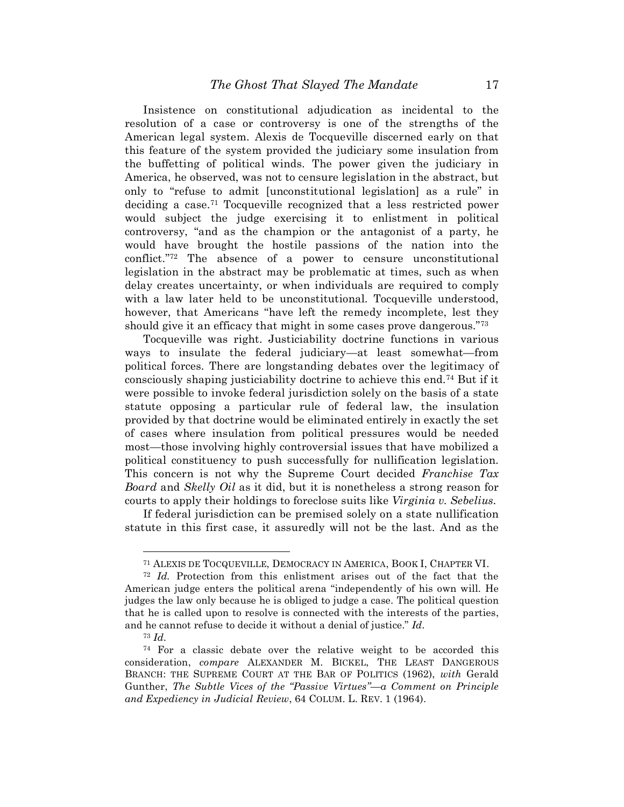Insistence on constitutional adjudication as incidental to the resolution of a case or controversy is one of the strengths of the American legal system. Alexis de Tocqueville discerned early on that this feature of the system provided the judiciary some insulation from the buffetting of political winds. The power given the judiciary in America, he observed, was not to censure legislation in the abstract, but only to "refuse to admit [unconstitutional legislation] as a rule" in deciding a case.71 Tocqueville recognized that a less restricted power would subject the judge exercising it to enlistment in political controversy, "and as the champion or the antagonist of a party, he would have brought the hostile passions of the nation into the conflict."72 The absence of a power to censure unconstitutional legislation in the abstract may be problematic at times, such as when delay creates uncertainty, or when individuals are required to comply with a law later held to be unconstitutional. To cqueville understood, however, that Americans "have left the remedy incomplete, lest they should give it an efficacy that might in some cases prove dangerous.<sup>"73</sup>

Tocqueville was right. Justiciability doctrine functions in various ways to insulate the federal judiciary—at least somewhat—from political forces. There are longstanding debates over the legitimacy of consciously shaping justiciability doctrine to achieve this end.74 But if it were possible to invoke federal jurisdiction solely on the basis of a state statute opposing a particular rule of federal law, the insulation provided by that doctrine would be eliminated entirely in exactly the set of cases where insulation from political pressures would be needed most—those involving highly controversial issues that have mobilized a political constituency to push successfully for nullification legislation. This concern is not why the Supreme Court decided *Franchise Tax Board* and *Skelly Oil* as it did, but it is nonetheless a strong reason for courts to apply their holdings to foreclose suits like *Virginia v. Sebelius*.

If federal jurisdiction can be premised solely on a state nullification statute in this first case, it assuredly will not be the last. And as the

<sup>73</sup> *Id.*

<sup>71</sup> ALEXIS DE TOCQUEVILLE, DEMOCRACY IN AMERICA, BOOK I, CHAPTER VI.

<sup>72</sup> *Id.* Protection from this enlistment arises out of the fact that the American judge enters the political arena "independently of his own will. He judges the law only because he is obliged to judge a case. The political question that he is called upon to resolve is connected with the interests of the parties, and he cannot refuse to decide it without a denial of justice." *Id.*

<sup>&</sup>lt;sup>74</sup> For a classic debate over the relative weight to be accorded this consideration, *compare* ALEXANDER M. BICKEL, THE LEAST DANGEROUS BRANCH: THE SUPREME COURT AT THE BAR OF POLITICS (1962), *with* Gerald Gunther, *The Subtle Vices of the "Passive Virtues"—a Comment on Principle and Expediency in Judicial Review*, 64 COLUM. L. REV. 1 (1964).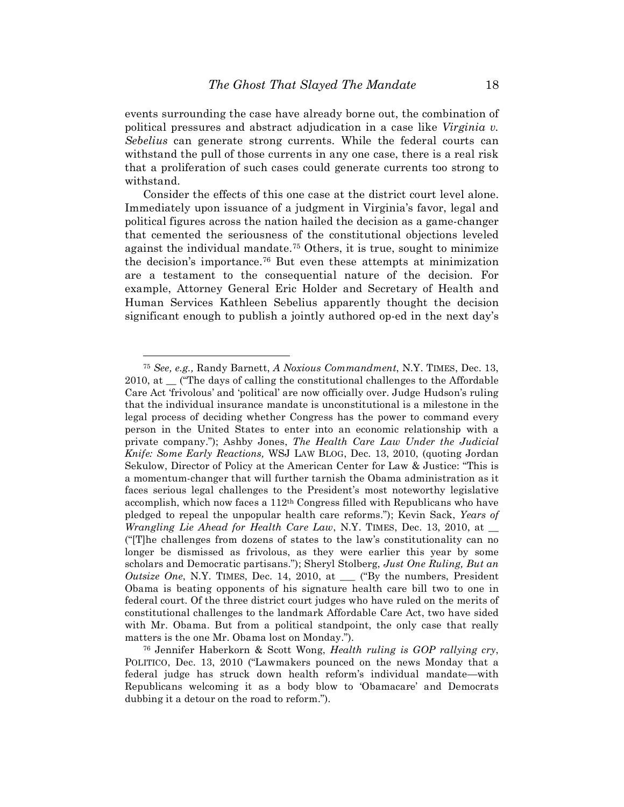events surrounding the case have already borne out, the combination of political pressures and abstract adjudication in a case like *Virginia v. Sebelius* can generate strong currents. While the federal courts can withstand the pull of those currents in any one case, there is a real risk that a proliferation of such cases could generate currents too strong to withstand.

Consider the effects of this one case at the district court level alone. Immediately upon issuance of a judgment in Virginia's favor, legal and political figures across the nation hailed the decision as a game-changer that cemented the seriousness of the constitutional objections leveled against the individual mandate.75 Others, it is true, sought to minimize the decision's importance.76 But even these attempts at minimization are a testament to the consequential nature of the decision. For example, Attorney General Eric Holder and Secretary of Health and Human Services Kathleen Sebelius apparently thought the decision significant enough to publish a jointly authored op-ed in the next day's

1

<sup>75</sup> *See, e.g.,* Randy Barnett, *A Noxious Commandment*, N.Y. TIMES, Dec. 13, 2010, at \_\_ ("The days of calling the constitutional challenges to the Affordable Care Act 'frivolous' and 'political' are now officially over. Judge Hudson's ruling that the individual insurance mandate is unconstitutional is a milestone in the legal process of deciding whether Congress has the power to command every person in the United States to enter into an economic relationship with a private company."); Ashby Jones, *The Health Care Law Under the Judicial Knife: Some Early Reactions,* WSJ LAW BLOG, Dec. 13, 2010, (quoting Jordan Sekulow, Director of Policy at the American Center for Law & Justice: "This is a momentum-changer that will further tarnish the Obama administration as it faces serious legal challenges to the President's most noteworthy legislative accomplish, which now faces a 112th Congress filled with Republicans who have pledged to repeal the unpopular health care reforms."); Kevin Sack, *Years of Wrangling Lie Ahead for Health Care Law*, N.Y. TIMES, Dec. 13, 2010, at \_\_ ("[T]he challenges from dozens of states to the law's constitutionality can no longer be dismissed as frivolous, as they were earlier this year by some scholars and Democratic partisans."); Sheryl Stolberg, *Just One Ruling, But an Outsize One*, N.Y. TIMES, Dec. 14, 2010, at \_\_\_ ("By the numbers, President Obama is beating opponents of his signature health care bill two to one in federal court. Of the three district court judges who have ruled on the merits of constitutional challenges to the landmark Affordable Care Act, two have sided with Mr. Obama. But from a political standpoint, the only case that really matters is the one Mr. Obama lost on Monday.").

<sup>76</sup> Jennifer Haberkorn & Scott Wong, *Health ruling is GOP rallying cry*, POLITICO, Dec. 13, 2010 ("Lawmakers pounced on the news Monday that a federal judge has struck down health reform's individual mandate—with Republicans welcoming it as a body blow to 'Obamacare' and Democrats dubbing it a detour on the road to reform.").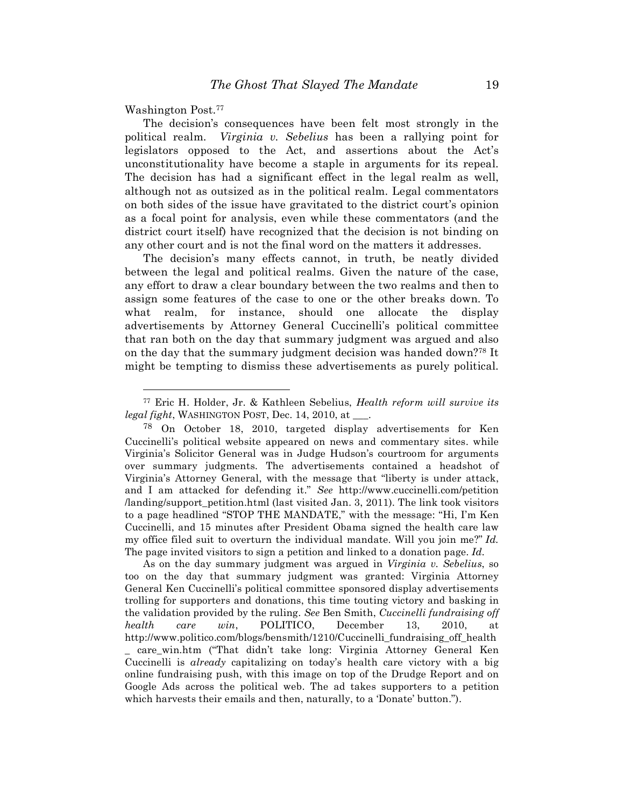Washington Post.77

<u>.</u>

The decision's consequences have been felt most strongly in the political realm. *Virginia v. Sebelius* has been a rallying point for legislators opposed to the Act, and assertions about the Act's unconstitutionality have become a staple in arguments for its repeal. The decision has had a significant effect in the legal realm as well, although not as outsized as in the political realm. Legal commentators on both sides of the issue have gravitated to the district court's opinion as a focal point for analysis, even while these commentators (and the district court itself) have recognized that the decision is not binding on any other court and is not the final word on the matters it addresses.

The decision's many effects cannot, in truth, be neatly divided between the legal and political realms. Given the nature of the case, any effort to draw a clear boundary between the two realms and then to assign some features of the case to one or the other breaks down. To what realm, for instance, should one allocate the display advertisements by Attorney General Cuccinelli's political committee that ran both on the day that summary judgment was argued and also on the day that the summary judgment decision was handed down?78 It might be tempting to dismiss these advertisements as purely political.

As on the day summary judgment was argued in *Virginia v. Sebelius*, so too on the day that summary judgment was granted: Virginia Attorney General Ken Cuccinelli's political committee sponsored display advertisements trolling for supporters and donations, this time touting victory and basking in the validation provided by the ruling. *See* Ben Smith, *Cuccinelli fundraising off health care win*, POLITICO, December 13, 2010, at http://www.politico.com/blogs/bensmith/1210/Cuccinelli\_fundraising\_off\_health \_ care\_win.htm ("That didn't take long: Virginia Attorney General Ken Cuccinelli is *already* capitalizing on today's health care victory with a big online fundraising push, with this image on top of the Drudge Report and on Google Ads across the political web. The ad takes supporters to a petition which harvests their emails and then, naturally, to a 'Donate' button.").

<sup>77</sup> Eric H. Holder, Jr. & Kathleen Sebelius, *Health reform will survive its legal fight*, WASHINGTON POST, Dec. 14, 2010, at \_\_\_.

<sup>78</sup> On October 18, 2010, targeted display advertisements for Ken Cuccinelli's political website appeared on news and commentary sites. while Virginia's Solicitor General was in Judge Hudson's courtroom for arguments over summary judgments. The advertisements contained a headshot of Virginia's Attorney General, with the message that "liberty is under attack, and I am attacked for defending it." *See* http://www.cuccinelli.com/petition /landing/support\_petition.html (last visited Jan. 3, 2011). The link took visitors to a page headlined "STOP THE MANDATE," with the message: "Hi, I'm Ken Cuccinelli, and 15 minutes after President Obama signed the health care law my office filed suit to overturn the individual mandate. Will you join me?" *Id.* The page invited visitors to sign a petition and linked to a donation page. *Id.*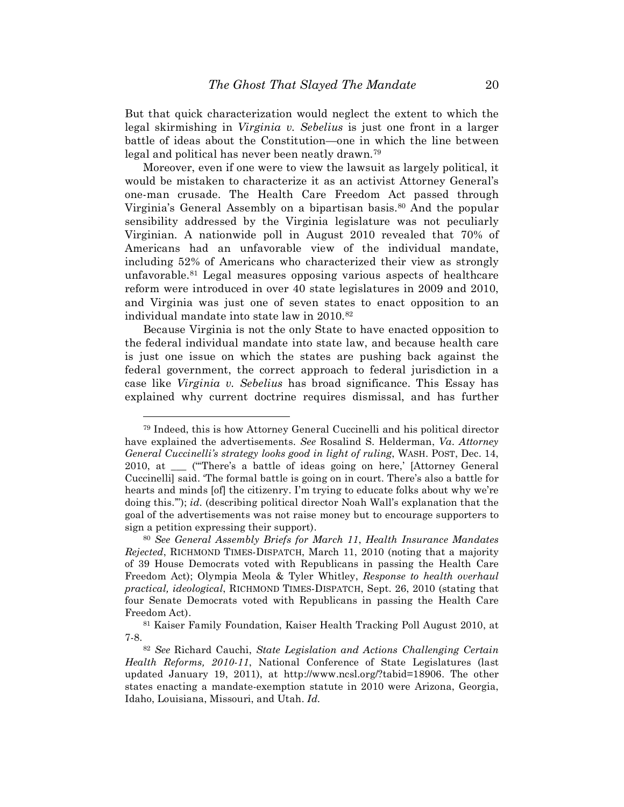But that quick characterization would neglect the extent to which the legal skirmishing in *Virginia v. Sebelius* is just one front in a larger battle of ideas about the Constitution—one in which the line between legal and political has never been neatly drawn.79

Moreover, even if one were to view the lawsuit as largely political, it would be mistaken to characterize it as an activist Attorney General's one-man crusade. The Health Care Freedom Act passed through Virginia's General Assembly on a bipartisan basis.<sup>80</sup> And the popular sensibility addressed by the Virginia legislature was not peculiarly Virginian. A nationwide poll in August 2010 revealed that 70% of Americans had an unfavorable view of the individual mandate, including 52% of Americans who characterized their view as strongly unfavorable.81 Legal measures opposing various aspects of healthcare reform were introduced in over 40 state legislatures in 2009 and 2010, and Virginia was just one of seven states to enact opposition to an individual mandate into state law in 2010.82

Because Virginia is not the only State to have enacted opposition to the federal individual mandate into state law, and because health care is just one issue on which the states are pushing back against the federal government, the correct approach to federal jurisdiction in a case like *Virginia v. Sebelius* has broad significance. This Essay has explained why current doctrine requires dismissal, and has further

1

<sup>79</sup> Indeed, this is how Attorney General Cuccinelli and his political director have explained the advertisements. *See* Rosalind S. Helderman, *Va. Attorney General Cuccinelli's strategy looks good in light of ruling*, WASH. POST, Dec. 14, 2010, at \_\_\_ ("'There's a battle of ideas going on here,' [Attorney General Cuccinelli] said. 'The formal battle is going on in court. There's also a battle for hearts and minds [of] the citizenry. I'm trying to educate folks about why we're doing this.'"); *id.* (describing political director Noah Wall's explanation that the goal of the advertisements was not raise money but to encourage supporters to sign a petition expressing their support).

<sup>80</sup> *See General Assembly Briefs for March 11*, *Health Insurance Mandates Rejected*, RICHMOND TIMES-DISPATCH, March 11, 2010 (noting that a majority of 39 House Democrats voted with Republicans in passing the Health Care Freedom Act); Olympia Meola & Tyler Whitley, *Response to health overhaul practical, ideological*, RICHMOND TIMES-DISPATCH, Sept. 26, 2010 (stating that four Senate Democrats voted with Republicans in passing the Health Care Freedom Act).

<sup>81</sup> Kaiser Family Foundation, Kaiser Health Tracking Poll August 2010, at 7-8.

<sup>82</sup> *See* Richard Cauchi, *State Legislation and Actions Challenging Certain Health Reforms, 2010-11*, National Conference of State Legislatures (last updated January 19, 2011), at http://www.ncsl.org/?tabid=18906. The other states enacting a mandate-exemption statute in 2010 were Arizona, Georgia, Idaho, Louisiana, Missouri, and Utah. *Id.*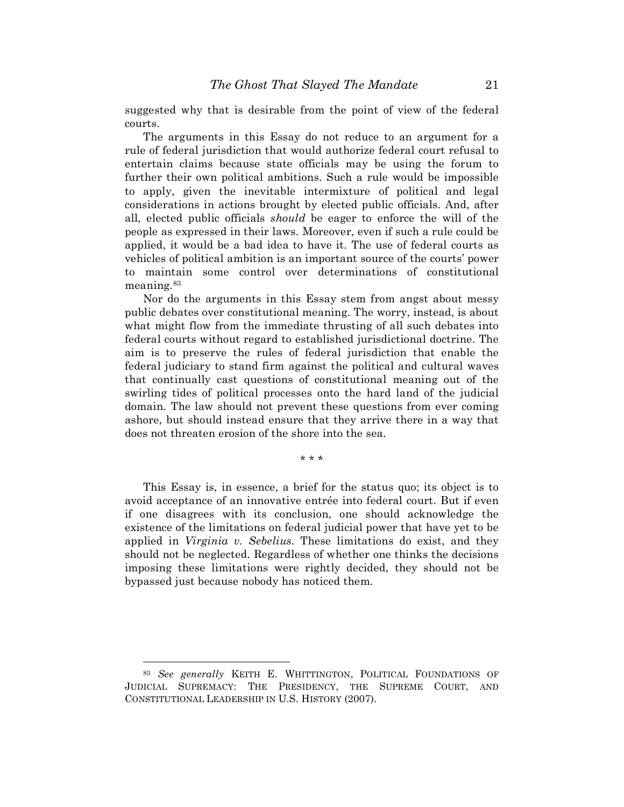suggested why that is desirable from the point of view of the federal courts.

The arguments in this Essay do not reduce to an argument for a rule of federal jurisdiction that would authorize federal court refusal to entertain claims because state officials may be using the forum to further their own political ambitions. Such a rule would be impossible to apply, given the inevitable intermixture of political and legal considerations in actions brought by elected public officials. And, after all, elected public officials *should* be eager to enforce the will of the people as expressed in their laws. Moreover, even if such a rule could be applied, it would be a bad idea to have it. The use of federal courts as vehicles of political ambition is an important source of the courts' power to maintain some control over determinations of constitutional meaning.83

Nor do the arguments in this Essay stem from angst about messy public debates over constitutional meaning. The worry, instead, is about what might flow from the immediate thrusting of all such debates into federal courts without regard to established jurisdictional doctrine. The aim is to preserve the rules of federal jurisdiction that enable the federal judiciary to stand firm against the political and cultural waves that continually cast questions of constitutional meaning out of the swirling tides of political processes onto the hard land of the judicial domain. The law should not prevent these questions from ever coming ashore, but should instead ensure that they arrive there in a way that does not threaten erosion of the shore into the sea.

\* \* \*

This Essay is, in essence, a brief for the status quo; its object is to avoid acceptance of an innovative entrée into federal court. But if even if one disagrees with its conclusion, one should acknowledge the existence of the limitations on federal judicial power that have yet to be applied in *Virginia v. Sebelius*. These limitations do exist, and they should not be neglected. Regardless of whether one thinks the decisions imposing these limitations were rightly decided, they should not be bypassed just because nobody has noticed them.

<sup>83</sup> *See generally* KEITH E. WHITTINGTON, POLITICAL FOUNDATIONS OF JUDICIAL SUPREMACY: THE PRESIDENCY, THE SUPREME COURT, AND CONSTITUTIONAL LEADERSHIP IN U.S. HISTORY (2007).